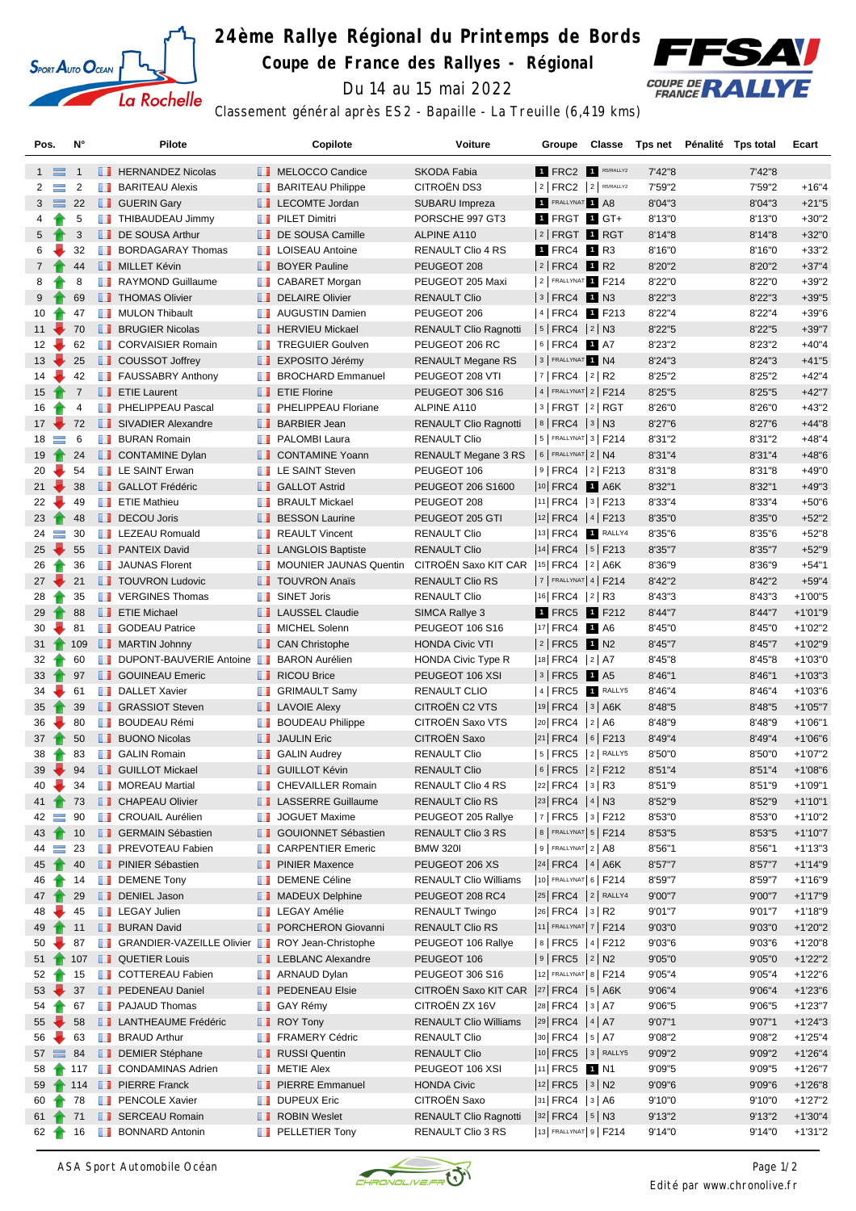

# **24ème Rallye Régional du Printemps de Bords**

**Coupe de France des Rallyes - Régional**



Du 14 au 15 mai 2022

Classement général après ES2 - Bapaille - La Treuille (6,419 kms)

| Pos.               |          | N°             |       | <b>Pilote</b>                                                   |   | Copilote                              | Voiture                                    | Groupe                     | <b>Classe</b> |         | Tps net Pénalité Tps total | Ecart      |
|--------------------|----------|----------------|-------|-----------------------------------------------------------------|---|---------------------------------------|--------------------------------------------|----------------------------|---------------|---------|----------------------------|------------|
| $1 \equiv$         |          | $\overline{1}$ |       | <b>FERNANDEZ Nicolas</b>                                        |   | MELOCCO Candice                       | SKODA Fabia                                | 1 FRC2 1 R5/RALLY2         |               | 7'42"8  | 7'42"8                     |            |
| $\overline{2}$     | $\equiv$ | $\overline{2}$ |       | <b>BARITEAU Alexis</b>                                          |   | <b>BARITEAU Philippe</b>              | CITROËN DS3                                | $ 2 $ FRC2 $ 2 $ R5/RALLY2 |               | 7'59"2  | 7'59"2                     | $+16"4$    |
| $3 \equiv$         |          | 22             |       | <b>B</b> GUERIN Gary                                            |   | <b>LECOMTE Jordan</b>                 | SUBARU Impreza                             | FRALLYNAT 1 A8             |               | 8'04"3  | 8'04"3                     | $+21"5$    |
| 4                  |          | 5              |       | THIBAUDEAU Jimmy                                                | ш | <b>PILET Dimitri</b>                  | PORSCHE 997 GT3                            | 1 FRGT 1 GT+               |               | 8'13"0  | 8'13"0                     | $+30"2$    |
| 5                  |          | 3              |       | DE SOUSA Arthur                                                 |   | DE SOUSA Camille                      | ALPINE A110                                | $ 2 $ FRGT $ 1 $ RGT       |               | 8'14"8  | 8'14"8                     | $+32"0$    |
| 6                  |          | 32             |       | <b>BORDAGARAY Thomas</b>                                        |   | <b>LE</b> LOISEAU Antoine             | RENAULT Clio 4 RS                          | 1 FRC4 1 R3                |               | 8'16"0  | 8'16"0                     | $+33"2$    |
| $\overline{7}$     |          | 44             |       | <b>NILLET Kévin</b>                                             |   | <b>BOYER Pauline</b>                  | PEUGEOT 208                                | $ 2 $ FRC4 1 R2            |               | 8'20"2  | 8'20"2                     | $+37"4$    |
| 8                  |          | 8              |       | RAYMOND Guillaume                                               |   | <b>CABARET Morgan</b>                 | PEUGEOT 205 Maxi                           | 2 FRALLYNAT 1 F214         |               | 8'22"0  | 8'22"0                     | $+39"2$    |
| 9                  |          | 69             |       | <b>THOMAS Olivier</b>                                           |   | DELAIRE Olivier                       | <b>RENAULT Clio</b>                        | $ 3 $ FRC4 1 N3            |               | 8'22"3  | 8'22"3                     | $+39"5$    |
| 10                 |          | 47             |       | <b>NULON Thibault</b>                                           |   | <b>AUGUSTIN Damien</b>                | PEUGEOT 206                                | 4 FRC4 1 F213              |               | 8'22"4  | 8'22"4                     | $+39"6$    |
| $11 -$             |          | 70             |       | <b>BRUGIER Nicolas</b>                                          |   | <b>F</b> HERVIEU Mickael              | <b>RENAULT Clio Ragnotti</b>               | $ 5 $ FRC4 $ 2 $ N3        |               | 8'22"5  | 8'22"5                     | $+39"7$    |
| 12 <sup>12</sup>   |          | 62             |       | <b>T</b> CORVAISIER Romain                                      |   | <b>TREGUIER Goulven</b>               | PEUGEOT 206 RC                             | $ 6 $ FRC4 1 A7            |               | 8'23"2  | 8'23"2                     | $+40"4$    |
| 13                 |          | 25             |       | <b>COUSSOT Joffrey</b>                                          |   | EXPOSITO Jérémy                       | RENAULT Megane RS                          | 3 FRALLYNAT 1 N4           |               | 8'24"3  | 8'24"3                     | $+41"5$    |
| 14                 |          | 42             |       | <b>FAUSSABRY Anthony</b>                                        |   | <b>BROCHARD Emmanuel</b>              | PEUGEOT 208 VTI                            | $ 7 $ FRC4 $ 2 $ R2        |               | 8'25"2  | 8'25"2                     | $+42"4$    |
| 15 <sub>1</sub>    |          | $\overline{7}$ |       | <b>Example 3</b> ETIE Laurent                                   |   | <b>Example 7</b> ETIE Florine         | <b>PEUGEOT 306 S16</b>                     | 4   FRALLYNAT 2   F214     |               | 8'25"5  | 8'25"5                     | $+42"7$    |
| 16                 |          | 4              |       | <b>FELIPPEAU Pascal</b>                                         |   | <b>FRIDERICAL PHELIPPEAU Floriane</b> | ALPINE A110                                | 3   FRGT  2   RGT          |               | 8'26"0  | 8'26"0                     | $+43"2$    |
| $17 -$             |          | 72             |       | SIVADIER Alexandre                                              |   | <b>BARBIER Jean</b>                   | <b>RENAULT Clio Ragnotti</b>               | $ 8 $ FRC4 $ 3 $ N3        |               | 8'27"6  | 8'27"6                     | $+44"8$    |
| $18 \equiv$        |          | 6              |       | <b>BURAN Romain</b>                                             |   | <b>PALOMBI Laura</b>                  | <b>RENAULT Clio</b>                        | $5$ Frallynat 3   F214     |               | 8'31"2  | 8'31"2                     | $+48"4$    |
| 19                 |          | 24             |       | <b>CONTAMINE Dylan</b>                                          |   | CONTAMINE Yoann                       | RENAULT Megane 3 RS   6   FRALLYNAT 2   N4 |                            |               | 8'31"4  | 8'31"4                     | $+48"6$    |
| 20                 |          | 54             |       | <b>EXAINT Erwan</b>                                             |   | <b>LE SAINT Steven</b>                | PEUGEOT 106                                | 9   FRC4   2   F213        |               | 8'31"8  | 8'31"8                     | $+49"0$    |
| $21 -$             |          | 38             |       | <b>B</b> GALLOT Frédéric                                        |   | <b>B</b> GALLOT Astrid                | PEUGEOT 206 S1600                          | 10 FRC4 1 A6K              |               | 8'32"1  | 8'32"1                     | $+49"3$    |
| 22                 |          | 49             |       | <b>F</b> ETIE Mathieu                                           |   | <b>BRAULT Mickael</b>                 | PEUGEOT 208                                | $ 11 $ FRC4 $ 3 $ F213     |               | 8'33"4  | 8'33"4                     | $+50"6$    |
| 23 <sub>1</sub>    |          | 48             |       | DECOU Joris                                                     |   | <b>BESSON Laurine</b>                 | PEUGEOT 205 GTI                            | 12 FRC4   4   F213         |               | 8'35"0  | 8'35"0                     | $+52"2$    |
| $24 =$             |          | 30             |       | <b>EXECUED</b> LEZEAU Romuald                                   |   | <b>REAULT Vincent</b>                 | <b>RENAULT Clio</b>                        | 13 FRC4 1 RALLY4           |               | 8'35"6  | 8'35"6                     | $+52"8$    |
| 25                 |          | 55             |       | <b>PANTEIX David</b>                                            |   | <b>LANGLOIS Baptiste</b>              | <b>RENAULT Clio</b>                        | $ 14 $ FRC4 $ 5 $ F213     |               | 8'35"7  | 8'35"7                     | $+52"9$    |
| 26                 |          | 36             |       | <b>JAUNAS Florent</b>                                           |   | <b>MOUNIER JAUNAS Quentin</b>         | CITROËN Saxo KIT CAR                       | $ 15 $ FRC4 $ 2 $ A6K      |               | 8'36"9  | 8'36"9                     | $+54"1$    |
| $27 -$             |          | 21             |       | <b>TOUVRON Ludovic</b>                                          |   | <b>TOUVRON Anaïs</b>                  | <b>RENAULT Clio RS</b>                     | $ 7 $ FRALLYNAT 4   F214   |               | 8'42"2  | 8'42"2                     | $+59"4$    |
| 28                 |          | 35             |       | <b>T</b> VERGINES Thomas                                        |   | <b>B</b> SINET Joris                  | <b>RENAULT Clio</b>                        | $ 16 $ FRC4 $ 2 $ R3       |               | 8'43"3  | 8'43"3                     | $+1'00"5$  |
| 29                 |          | 88             |       | <b>ETIE Michael</b>                                             |   | <b>LAUSSEL Claudie</b>                | SIMCA Rallye 3                             | 1 FRC5 1 F212              |               | 8'44"7  | 8'44"7                     | $+1'01"9$  |
| 30                 |          | 81             |       | <b>B</b> GODEAU Patrice                                         |   | MICHEL Solenn                         | <b>PEUGEOT 106 S16</b>                     | 17 FRC4 1 A6               |               | 8'45"0  | 8'45"0                     | $+1'02"2$  |
| 31 <sub>1</sub>    |          | 109            |       | <b>MARTIN Johnny</b>                                            |   | <b>CAN Christophe</b>                 | <b>HONDA Civic VTI</b>                     | 2 FRC5 1 N2                |               | 8'45"7  | 8'45"7                     | $+1'02"9$  |
| 32                 |          | 60             |       | DUPONT-BAUVERIE Antoine                                         |   | <b>BARON Aurélien</b>                 | HONDA Civic Type R                         | 18 FRC4 2 A7               |               | 8'45"8  | 8'45"8                     | $+1'03"0$  |
| $33 \t{^-}$        |          | 97             |       | <b>B</b> GOUINEAU Emeric                                        |   | <b>RICOU Brice</b>                    | PEUGEOT 106 XSI                            | $ 3 $ FRC5 1 A5            |               | 8'46"1  | 8'46"1                     | $+1'03''3$ |
| 34                 |          | 61             |       | <b>DALLET Xavier</b>                                            |   | <b>B</b> GRIMAULT Samy                | <b>RENAULT CLIO</b>                        | 4 FRC5 <b>1</b> RALLY5     |               | 8'46"4  | 8'46"4                     | $+1'03"6$  |
| 35                 |          | 39             |       | <b>B</b> GRASSIOT Steven                                        |   | <b>LE</b> LAVOIE Alexy                | CITROËN C2 VTS                             | 19 FRC4   3   A6K          |               | 8'48"5  | 8'48"5                     | $+1'05"7$  |
| 36                 |          | 80             | a a s | <b>BOUDEAU Rémi</b>                                             |   | <b>BOUDEAU Philippe</b>               | CITROËN Saxo VTS                           | 20 FRC4 2 A6               |               | 8'48"9  | 8'48"9                     | $+1'06"1$  |
| 37                 |          | 50             |       | <b>BUONO Nicolas</b>                                            |   | <b>JAULIN Eric</b>                    | CITROËN Saxo                               | $ 21 $ FRC4 $ 6 $ F213     |               | 8'49"4  | 8'49"4                     | $+1'06"6$  |
| 38                 |          | 83             |       | <b>B</b> GALIN Romain                                           |   | <b>GALIN Audrey</b>                   | <b>RENAULT Clio</b>                        | $ 5 $ FRC5 $ 2 $ RALLY5    |               | 8'50"0  | 8'50"0                     | $+1'07"2$  |
| $39 -$             |          | 94             |       | <b>B</b> GUILLOT Mickael                                        |   | <b>B</b> GUILLOT Kévin                | <b>RENAULT Clio</b>                        | 6 FRC5 2 F212              |               | 8'51''4 | 8'51"4                     | $+1'08"6$  |
| 40                 |          | 34             |       | <b>NOREAU Martial</b>                                           |   | <b>CHEVAILLER Romain</b>              | RENAULT Clio 4 RS                          | 22 FRC4   3   R3           |               | 8'51"9  | 8'51"9                     | $+1'09"1$  |
| 41 <sub>1</sub>    |          | 73             |       | <b>CHAPEAU Olivier</b>                                          |   | <b>LE</b> LASSERRE Guillaume          | RENAULT Clio RS                            | $ 23 $ FRC4 $ 4 $ N3       |               | 8'52"9  | 8'52"9                     | $+1'10"1$  |
| $42 \equiv$        |          | 90             |       | <b>B</b> CROUAIL Aurélien                                       |   | JOGUET Maxime                         | PEUGEOT 205 Rallye                         | 7   FRC5   3   F212        |               | 8'53"0  | 8'53"0                     | $+1'10''2$ |
| $43-1$             |          | 10             |       | <b>B</b> GERMAIN Sébastien                                      |   | <b>B</b> GOUIONNET Sébastien          | RENAULT Clio 3 RS                          | 8   FRALLYNAT 5   F214     |               | 8'53"5  | 8'53"5                     | $+1'10"7$  |
| $44 =$             |          | 23             |       | <b>FREVOTEAU Fabien</b>                                         | ш | <b>CARPENTIER Emeric</b>              | <b>BMW 320I</b>                            | $9$ Frallynat $2$ A8       |               | 8'56"1  | 8'56"1                     | $+1'13''3$ |
| 45                 |          | 40             |       | <b>FINIER Sébastien</b>                                         |   | <b>FI</b> PINIER Maxence              | PEUGEOT 206 XS                             | $ 24 $ FRC4 $ 4 $ A6K      |               | 8'57"7  | 8'57"7                     | $+1'14"9$  |
| 46                 |          | 14             |       | <b>DEMENE Tony</b>                                              |   | DEMENE Céline                         | <b>RENAULT Clio Williams</b>               | 10 FRALLYNAT 6   F214      |               | 8'59"7  | 8'59"7                     | $+1'16''9$ |
| 47 1               |          | 29             |       | DENIEL Jason                                                    |   | <b>MADEUX Delphine</b>                | PEUGEOT 208 RC4                            | 25 FRC4 2 RALLY4           |               | 9'00"7  | 9'00"7                     | $+1'17"9$  |
| 48                 |          | 45             |       | <b>LEGAY Julien</b>                                             |   | <b>LEGAY Amélie</b>                   | RENAULT Twingo                             | $ 26 $ FRC4 $ 3 $ R2       |               | 9'01"7  | 9'01"7                     | $+1'18"9$  |
| 49                 |          | 11             |       | <b>BURAN David</b>                                              |   | <b>PORCHERON Giovanni</b>             | RENAULT Clio RS                            | 11 FRALLYNAT 7   F214      |               | 9'03"0  | 9'03"0                     | $+1'20''2$ |
| 50                 |          | 87             |       | <b>F</b> GRANDIER-VAZEILLE Olivier <b>F</b> ROY Jean-Christophe |   |                                       | PEUGEOT 106 Rallye                         | 8   FRC5   4   F212        |               | 9'03"6  | 9'03"6                     | $+1'20"8$  |
| $51$ <del>1</del>  |          | 107            |       | <b>QUETIER Louis</b>                                            |   | <b>EXECUTE LEBLANC Alexandre</b>      | PEUGEOT 106                                | $ 9 $ FRC5 $ 2 $ N2        |               | 9'05"0  | 9'05"0                     | $+1'22"2$  |
| 52 <sub>1</sub>    |          | 15             |       | COTTEREAU Fabien                                                |   | <b>ARNAUD Dylan</b>                   | PEUGEOT 306 S16                            | 12 FRALLYNAT 8   F214      |               | 9'05"4  | 9'05"4                     | $+1'22"6$  |
| $53 \rightarrow$   |          | 37             |       | <b>PEDENEAU Daniel</b>                                          |   | <b>PEDENEAU Elsie</b>                 | CITROËN Saxo KIT CAR  27 FRC4   5   A6K    |                            |               | 9'06"4  | 9'06"4                     | $+1'23'6$  |
| 54                 |          | 67             |       | <b>FRAJAUD Thomas</b>                                           |   | <b>B</b> GAY Rémy                     | CITROËN ZX 16V                             | 28 FRC4 3 A7               |               | 9'06"5  | 9'06"5                     | $+1'23"7$  |
| $55 - 1$           |          | 58             |       | <b>LANTHEAUME Frédéric</b>                                      |   | $\blacksquare$ ROY Tony               | <b>RENAULT Clio Williams</b>               | 29 FRC4   4   A7           |               | 9'07"1  | 9'07"1                     | $+1'24"3$  |
| 56                 |          | 63             |       | <b>BRAUD Arthur</b>                                             |   | <b>FRAMERY Cédric</b>                 | <b>RENAULT Clio</b>                        | 30 FRC4 5 A7               |               | 9'08"2  | 9'08"2                     | $+1'25''4$ |
| $57 \equiv 84$     |          |                |       | DEMIER Stéphane                                                 |   | <b>RUSSI</b> Quentin                  | <b>RENAULT Clio</b>                        | 10 FRC5 3 RALLY5           |               | 9'09"2  | 9'09"2                     | $+1'26''4$ |
| $58$ $\rightarrow$ |          |                |       | 117 CONDAMINAS Adrien                                           |   | <b>NETIE Alex</b>                     | PEUGEOT 106 XSI                            | 11 FRC5 1 N1               |               | 9'09"5  | 9'09"5                     | $+1'26"7$  |
| 59                 |          | 114            |       | <b>FILE</b> PIERRE Franck                                       |   | <b>PIERRE Emmanuel</b>                | <b>HONDA Civic</b>                         | $ 12 $ FRC5 $ 3 $ N2       |               | 9'09"6  | 9'09"6                     | $+1'26''8$ |
| 60                 |          | 78             |       | <b>FENCOLE Xavier</b>                                           |   | DUPEUX Eric                           | CITROËN Saxo                               | 31 FRC4 3 A6               |               | 9'10"0  | 9'10"0                     | $+1'27"2$  |
| 61 <sub>1</sub>    |          | 71             |       | SERCEAU Romain                                                  |   | <b>ROBIN Weslet</b>                   | <b>RENAULT Clio Ragnotti</b>               | 32 FRC4 5 N3               |               | 9'13''2 | 9'13"2                     | $+1'30''4$ |
| 62                 |          | 16             |       | <b>BONNARD Antonin</b>                                          |   | <b>PELLETIER Tony</b>                 | RENAULT Clio 3 RS                          | 13 FRALLYNAT 9   F214      |               | 9'14"0  | 9'14"0                     | $+1'31"2$  |